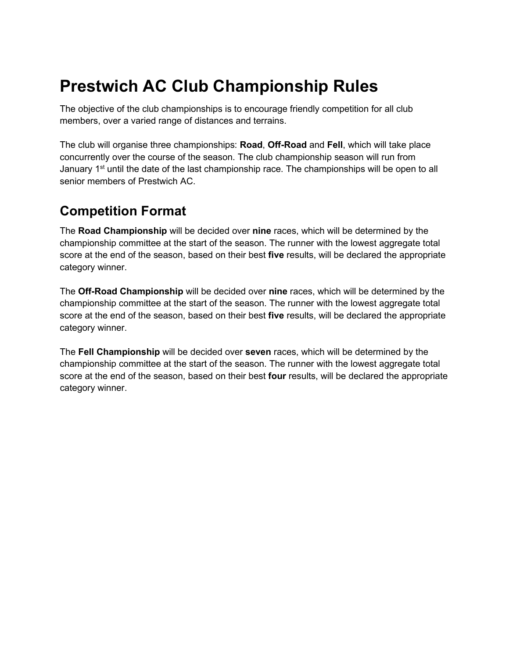# **Prestwich AC Club Championship Rules**

The objective of the club championships is to encourage friendly competition for all club members, over a varied range of distances and terrains.

The club will organise three championships: **Road**, **Off-Road** and **Fell**, which will take place concurrently over the course of the season. The club championship season will run from January 1<sup>st</sup> until the date of the last championship race. The championships will be open to all senior members of Prestwich AC.

#### **Competition Format**

The **Road Championship** will be decided over **nine** races, which will be determined by the championship committee at the start of the season. The runner with the lowest aggregate total score at the end of the season, based on their best **five** results, will be declared the appropriate category winner.

The **Off-Road Championship** will be decided over **nine** races, which will be determined by the championship committee at the start of the season. The runner with the lowest aggregate total score at the end of the season, based on their best **five** results, will be declared the appropriate category winner.

The **Fell Championship** will be decided over **seven** races, which will be determined by the championship committee at the start of the season. The runner with the lowest aggregate total score at the end of the season, based on their best **four** results, will be declared the appropriate category winner.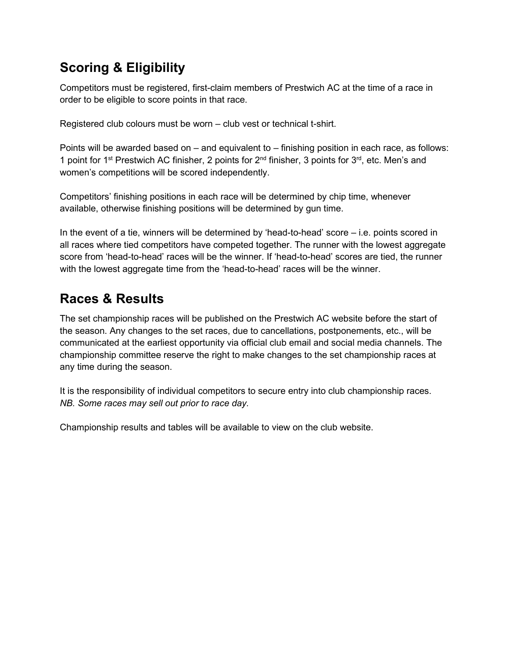### **Scoring & Eligibility**

Competitors must be registered, first-claim members of Prestwich AC at the time of a race in order to be eligible to score points in that race.

Registered club colours must be worn – club vest or technical t-shirt.

Points will be awarded based on – and equivalent to – finishing position in each race, as follows: 1 point for 1<sup>st</sup> Prestwich AC finisher, 2 points for  $2^{nd}$  finisher, 3 points for  $3^{rd}$ , etc. Men's and women's competitions will be scored independently.

Competitors' finishing positions in each race will be determined by chip time, whenever available, otherwise finishing positions will be determined by gun time.

In the event of a tie, winners will be determined by 'head-to-head' score – i.e. points scored in all races where tied competitors have competed together. The runner with the lowest aggregate score from 'head-to-head' races will be the winner. If 'head-to-head' scores are tied, the runner with the lowest aggregate time from the 'head-to-head' races will be the winner.

### **Races & Results**

The set championship races will be published on the Prestwich AC website before the start of the season. Any changes to the set races, due to cancellations, postponements, etc., will be communicated at the earliest opportunity via official club email and social media channels. The championship committee reserve the right to make changes to the set championship races at any time during the season.

It is the responsibility of individual competitors to secure entry into club championship races. *NB. Some races may sell out prior to race day.*

Championship results and tables will be available to view on the club website.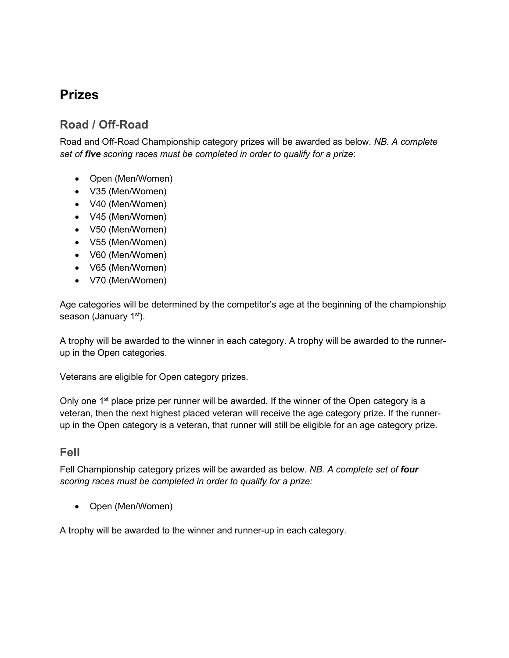#### **Prizes**

#### **Road / Off-Road**

Road and Off-Road Championship category prizes will be awarded as below. *NB. A complete set of five scoring races must be completed in order to qualify for a prize*:

- Open (Men/Women)
- V35 (Men/Women)
- V40 (Men/Women)
- V45 (Men/Women)
- V50 (Men/Women)
- V55 (Men/Women)
- V60 (Men/Women)
- V65 (Men/Women)
- V70 (Men/Women)

Age categories will be determined by the competitor's age at the beginning of the championship season (January 1<sup>st</sup>).

A trophy will be awarded to the winner in each category. A trophy will be awarded to the runnerup in the Open categories.

Veterans are eligible for Open category prizes.

Only one  $1<sup>st</sup>$  place prize per runner will be awarded. If the winner of the Open category is a veteran, then the next highest placed veteran will receive the age category prize. If the runnerup in the Open category is a veteran, that runner will still be eligible for an age category prize.

#### **Fell**

Fell Championship category prizes will be awarded as below. *NB. A complete set of four scoring races must be completed in order to qualify for a prize:*

• Open (Men/Women)

A trophy will be awarded to the winner and runner-up in each category.